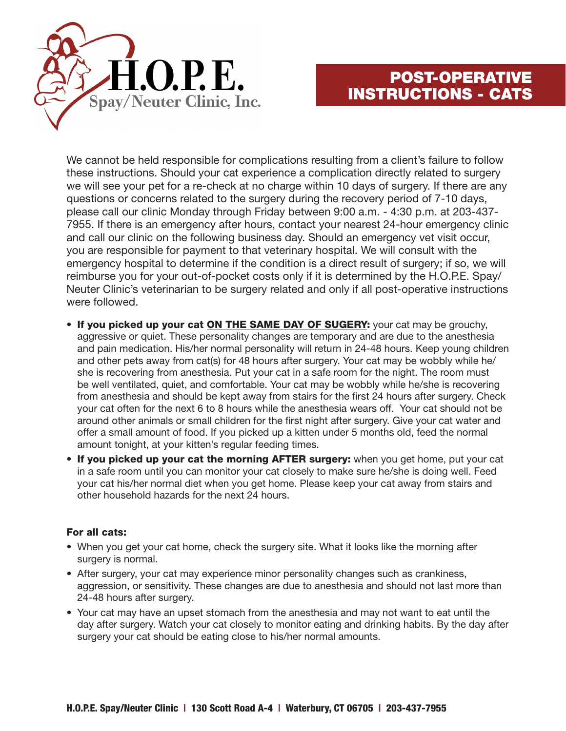

## POST-OPERATIVE INSTRUCTIONS - CATS

We cannot be held responsible for complications resulting from a client's failure to follow these instructions. Should your cat experience a complication directly related to surgery we will see your pet for a re-check at no charge within 10 days of surgery. If there are any questions or concerns related to the surgery during the recovery period of 7-10 days, please call our clinic Monday through Friday between 9:00 a.m. - 4:30 p.m. at 203-437- 7955. If there is an emergency after hours, contact your nearest 24-hour emergency clinic and call our clinic on the following business day. Should an emergency vet visit occur, you are responsible for payment to that veterinary hospital. We will consult with the emergency hospital to determine if the condition is a direct result of surgery; if so, we will reimburse you for your out-of-pocket costs only if it is determined by the H.O.P.E. Spay/ Neuter Clinic's veterinarian to be surgery related and only if all post-operative instructions were followed.

- If you picked up your cat ON THE SAME DAY OF SUGERY: your cat may be grouchy, aggressive or quiet. These personality changes are temporary and are due to the anesthesia and pain medication. His/her normal personality will return in 24-48 hours. Keep young children and other pets away from cat(s) for 48 hours after surgery. Your cat may be wobbly while he/ she is recovering from anesthesia. Put your cat in a safe room for the night. The room must be well ventilated, quiet, and comfortable. Your cat may be wobbly while he/she is recovering from anesthesia and should be kept away from stairs for the first 24 hours after surgery. Check your cat often for the next 6 to 8 hours while the anesthesia wears off. Your cat should not be around other animals or small children for the first night after surgery. Give your cat water and offer a small amount of food. If you picked up a kitten under 5 months old, feed the normal amount tonight, at your kitten's regular feeding times.
- If you picked up your cat the morning AFTER surgery: when you get home, put your cat in a safe room until you can monitor your cat closely to make sure he/she is doing well. Feed your cat his/her normal diet when you get home. Please keep your cat away from stairs and other household hazards for the next 24 hours.

## For all cats:

- When you get your cat home, check the surgery site. What it looks like the morning after surgery is normal.
- After surgery, your cat may experience minor personality changes such as crankiness, aggression, or sensitivity. These changes are due to anesthesia and should not last more than 24-48 hours after surgery.
- Your cat may have an upset stomach from the anesthesia and may not want to eat until the day after surgery. Watch your cat closely to monitor eating and drinking habits. By the day after surgery your cat should be eating close to his/her normal amounts.